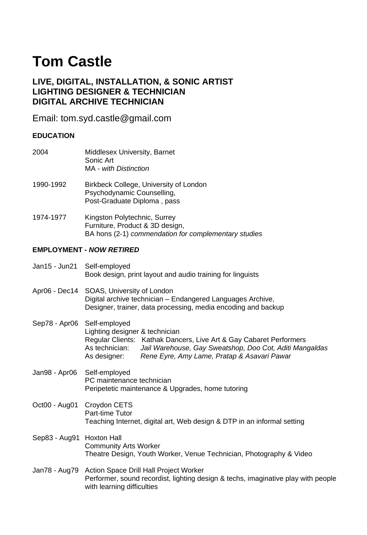# **Tom Castle**

### **LIVE, DIGITAL, INSTALLATION, & SONIC ARTIST LIGHTING DESIGNER & TECHNICIAN DIGITAL ARCHIVE TECHNICIAN**

Email: tom.syd.castle@gmail.com

### **EDUCATION**

| 2004                        | <b>Middlesex University, Barnet</b><br>Sonic Art<br><b>MA</b> - with Distinction                                                                                                                                                                                  |
|-----------------------------|-------------------------------------------------------------------------------------------------------------------------------------------------------------------------------------------------------------------------------------------------------------------|
| 1990-1992                   | Birkbeck College, University of London<br>Psychodynamic Counselling,<br>Post-Graduate Diploma, pass                                                                                                                                                               |
| 1974-1977                   | Kingston Polytechnic, Surrey<br>Furniture, Product & 3D design,<br>BA hons (2-1) commendation for complementary studies                                                                                                                                           |
|                             | <b>EMPLOYMENT - NOW RETIRED</b>                                                                                                                                                                                                                                   |
| Jan15 - Jun21 Self-employed | Book design, print layout and audio training for linguists                                                                                                                                                                                                        |
|                             | Apr06 - Dec14 SOAS, University of London<br>Digital archive technician - Endangered Languages Archive,<br>Designer, trainer, data processing, media encoding and backup                                                                                           |
| Sep78 - Apr06               | Self-employed<br>Lighting designer & technician<br>Regular Clients: Kathak Dancers, Live Art & Gay Cabaret Performers<br>As technician:<br>Jail Warehouse, Gay Sweatshop, Doo Cot, Aditi Mangaldas<br>As designer:<br>Rene Eyre, Amy Lame, Pratap & Asavari Pawar |
| Jan98 - Apr06               | Self-employed<br>PC maintenance technician<br>Peripetetic maintenance & Upgrades, home tutoring                                                                                                                                                                   |
| Oct00 - Aug01               | Croydon CETS<br>Part-time Tutor<br>Teaching Internet, digital art, Web design & DTP in an informal setting                                                                                                                                                        |
| Sep83 - Aug91 Hoxton Hall   | <b>Community Arts Worker</b><br>Theatre Design, Youth Worker, Venue Technician, Photography & Video                                                                                                                                                               |
| Jan78 - Aug79               | <b>Action Space Drill Hall Project Worker</b><br>Performer, sound recordist, lighting design & techs, imaginative play with people<br>with learning difficulties                                                                                                  |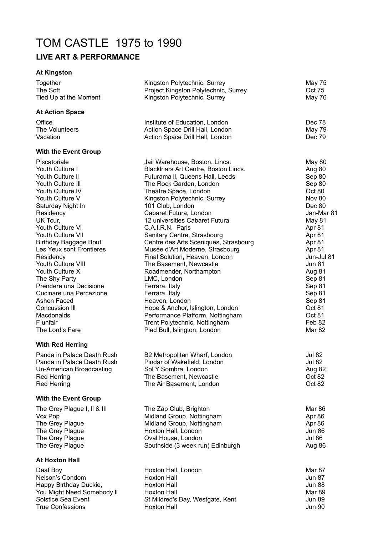# TOM CASTLE 1975 to 1990

# **LIVE ART & PERFORMANCE**

#### **At Kingston**

| Together                     | Kingston Polytechnic, Surrey          | <b>May 75</b> |
|------------------------------|---------------------------------------|---------------|
| The Soft                     | Project Kingston Polytechnic, Surrey  | Oct 75        |
| Tied Up at the Moment        | Kingston Polytechnic, Surrey          | May 76        |
| <b>At Action Space</b>       |                                       |               |
| Office                       | Institute of Education, London        | Dec 78        |
| The Volunteers               | Action Space Drill Hall, London       | May 79        |
| Vacation                     | Action Space Drill Hall, London       | Dec 79        |
| <b>With the Event Group</b>  |                                       |               |
| Piscatoriale                 | Jail Warehouse, Boston, Lincs.        | <b>May 80</b> |
| Youth Culture I              | Blacklriars Art Centre, Boston Lincs. | Aug 80        |
| Youth Culture II             | Futurama II, Queens Hall, Leeds       | Sep 80        |
| Youth Culture III            | The Rock Garden, London               | Sep 80        |
| Youth Culture IV             | Theatre Space, London                 | Oct 80        |
| Youth Culture V              | Kingston Polytechnic, Surrey          | <b>Nov 80</b> |
| Saturday Night In            | 101 Club, London                      | Dec 80        |
| Residency                    | Cabaret Futura, London                | Jan-Mar 81    |
| UK Tour,                     | 12 universities Cabaret Futura        | May 81        |
| Youth Culture VI             | C.A.I.R.N. Paris                      | Apr 81        |
| <b>Youth Culture VII</b>     | Sanitary Centre, Strasbourg           | Apr 81        |
| <b>Birthday Baggage Bout</b> | Centre des Arts Sceniques, Strasbourg | Apr 81        |
| Les Yeux sont Frontieres     | Musée d'Art Moderne, Strasbourg       | Apr 81        |
| Residency                    | Final Solution, Heaven, London        | Jun-Jul 81    |
| Youth Culture VIII           | The Basement, Newcastle               | <b>Jun 81</b> |
| Youth Culture X              | Roadmender, Northampton               | Aug 81        |
| The Shy Party                | LMC, London                           | Sep 81        |
| Prendere una Decisione       | Ferrara, Italy                        | Sep 81        |
| Cucinare una Percezione      | Ferrara, Italy                        | Sep 81        |
| Ashen Faced                  | Heaven, London                        | Sep 81        |
| Concussion III               | Hope & Anchor, Islington, London      | Oct 81        |
| Macdonalds                   | Performance Platform, Nottingham      | Oct 81        |
| F unfair                     | Trent Polytechnic, Nottingham         | Feb 82        |
| The Lord's Fare              | Pied Bull, Islington, London          | Mar 82        |
| <b>With Red Herring</b>      |                                       |               |
| Panda in Palace Death Rush   | B2 Metropolitan Wharf, London         | <b>Jul 82</b> |
| Panda in Palace Death Rush   | Pindar of Wakefield, London           | <b>Jul 82</b> |
| Un-American Broadcasting     | Sol Y Sombra, London                  | Aug 82        |
| <b>Red Herring</b>           | The Basement, Newcastle               | Oct 82        |
| <b>Red Herring</b>           | The Air Basement, London              | Oct 82        |
| <b>With the Event Group</b>  |                                       |               |
| The Grey Plague I, II & III  | The Zap Club, Brighton                | Mar 86        |
| Vox Pop                      | Midland Group, Nottingham             | Apr 86        |
| The Grey Plague              | Midland Group, Nottingham             | Apr 86        |
| The Grey Plague              | Hoxton Hall, London                   | <b>Jun 86</b> |
| The Grey Plague              | Oval House, London                    | <b>Jul 86</b> |
| The Grey Plague              | Southside (3 week run) Edinburgh      | Aug 86        |
| <b>At Hoxton Hall</b>        |                                       |               |
| Deaf Boy                     | Hoxton Hall, London                   | Mar 87        |
| Nelson's Condom              | Hoxton Hall                           | <b>Jun 87</b> |
| Happy Birthday Duckie,       | Hoxton Hall                           | Jun 88        |
| You Might Need Somebody II   | <b>Hoxton Hall</b>                    | Mar 89        |
| Solstice Sea Event           | St Mildred's Bay, Westgate, Kent      | <b>Jun 89</b> |
| <b>True Confessions</b>      | Hoxton Hall                           | <b>Jun 90</b> |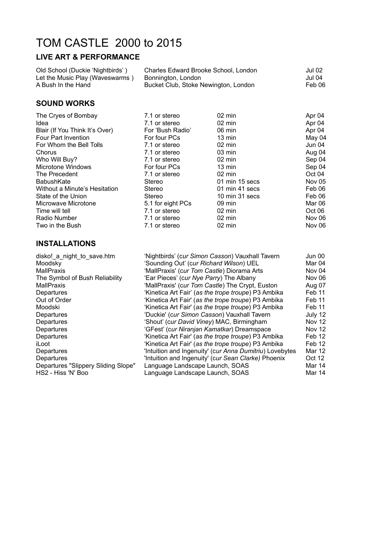# TOM CASTLE 2000 to 2015

## **LIVE ART & PERFORMANCE**

| Old School (Duckie 'Nightbirds') | Charles Edward Brooke School, London | Jul 02  |
|----------------------------------|--------------------------------------|---------|
| Let the Music Play (Waveswarms)  | Bonnington, London                   | Jul 04. |
| A Bush In the Hand               | Bucket Club, Stoke Newington, London | Feb 06  |

### **SOUND WORKS**

| The Cryes of Bombay            | 7.1 or stereo     | $02 \text{ min}$ | Apr 04        |
|--------------------------------|-------------------|------------------|---------------|
| Idea                           | 7.1 or stereo     | $02 \text{ min}$ | Apr 04        |
| Blair (If You Think It's Over) | For 'Bush Radio'  | $06 \text{ min}$ | Apr 04        |
| Four Part Invention            | For four PCs      | $13 \text{ min}$ | May 04        |
| For Whom the Bell Tolls        | 7.1 or stereo     | $02 \text{ min}$ | Jun 04        |
| Chorus                         | 7.1 or stereo     | $03 \text{ min}$ | Aug 04        |
| Who Will Buy?                  | 7.1 or stereo     | $02 \text{ min}$ | Sep 04        |
| Microtone Windows              | For four PCs      | $13 \text{ min}$ | Sep 04        |
| The Precedent                  | 7.1 or stereo     | $02 \text{ min}$ | Oct 04        |
| <b>BabushKate</b>              | <b>Stereo</b>     | 01 min 15 secs   | <b>Nov 05</b> |
| Without a Minute's Hesitation  | <b>Stereo</b>     | 01 min 41 secs   | Feb 06        |
| State of the Union             | <b>Stereo</b>     | 10 min 31 secs   | Feb 06        |
| Microwave Microtone            | 5.1 for eight PCs | $09$ min         | Mar 06        |
| Time will tell                 | 7.1 or stereo     | $02 \text{ min}$ | Oct 06        |
| Radio Number                   | 7.1 or stereo     | $02 \text{ min}$ | Nov 06        |
| Two in the Bush                | 7.1 or stereo     | $02 \text{ min}$ | Nov 06        |
|                                |                   |                  |               |

#### **INSTALLATIONS**

| disko! a_night_to_save.htm          | 'Nightbirds' (cur Simon Casson) Vauxhall Tavern         | Jun 00            |
|-------------------------------------|---------------------------------------------------------|-------------------|
| Moodsky                             | 'Sounding Out' (cur Richard Wilson) UEL                 | Mar 04            |
| MallPraxis                          | 'MallPraxis' (cur Tom Castle) Diorama Arts              | Nov <sub>04</sub> |
| The Symbol of Bush Reliability      | 'Ear Pieces' (cur Nye Parry) The Albany                 | Nov 06            |
| MallPraxis                          | 'MallPraxis' (cur Tom Castle) The Crypt, Euston         | Aug 07            |
| Departures                          | 'Kinetica Art Fair' (as the trope troupe) P3 Ambika     | Feb 11            |
| Out of Order                        | 'Kinetica Art Fair' (as the trope troupe) P3 Ambika     | Feb 11            |
| Moodski                             | 'Kinetica Art Fair' (as the trope troupe) P3 Ambika     | Feb 11            |
| Departures                          | 'Duckie' (cur Simon Casson) Vauxhall Tavern             | July 12           |
| Departures                          | 'Shout' (cur David Viney) MAC, Birmingham               | Nov 12            |
| Departures                          | 'GFest' (cur Niranjan Kamatkar) Dreamspace              | Nov 12            |
| Departures                          | 'Kinetica Art Fair' (as the trope troupe) P3 Ambika     | Feb 12            |
| iLoot                               | 'Kinetica Art Fair' (as the trope troupe) P3 Ambika     | Feb 12            |
| Departures                          | 'Intuition and Ingenuity' (cur Anna Dumitriu) Lovebytes | Mar 12            |
| Departures                          | 'Intuition and Ingenuity' (cur Sean Clarke) Phoenix     | Oct 12            |
| Departures "Slippery Sliding Slope" | Language Landscape Launch, SOAS                         | Mar 14            |
| HS2 - Hiss 'N' Boo                  | Language Landscape Launch, SOAS                         | Mar 14            |